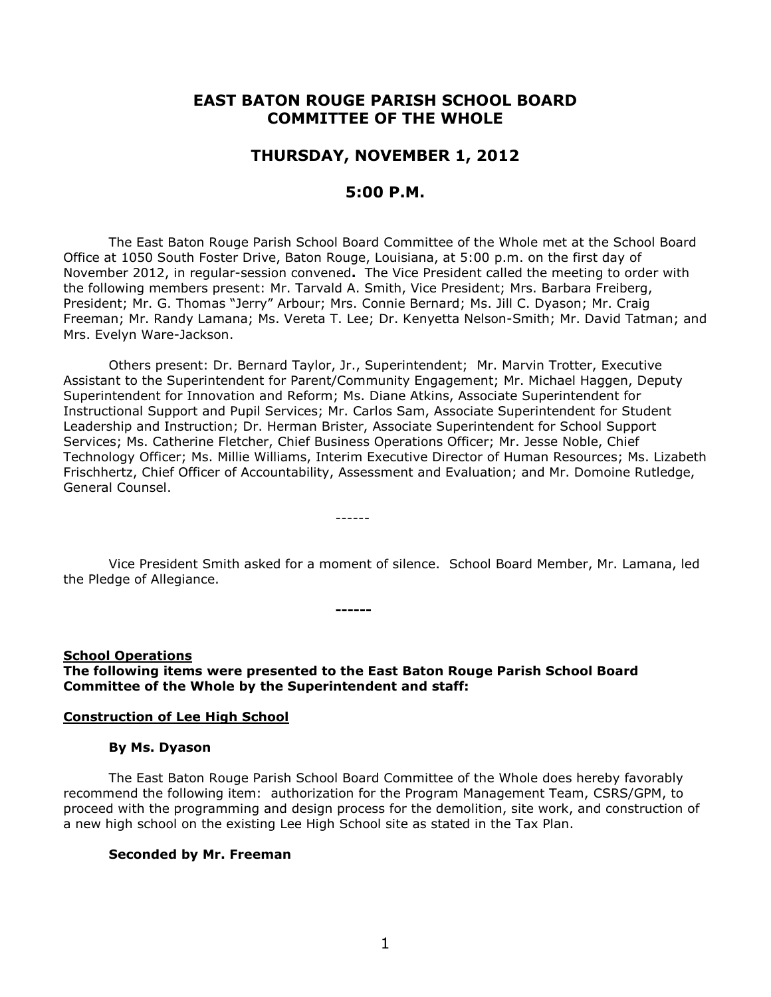# **EAST BATON ROUGE PARISH SCHOOL BOARD COMMITTEE OF THE WHOLE**

# **THURSDAY, NOVEMBER 1, 2012**

# **5:00 P.M.**

The East Baton Rouge Parish School Board Committee of the Whole met at the School Board Office at 1050 South Foster Drive, Baton Rouge, Louisiana, at 5:00 p.m. on the first day of November 2012, in regular-session convened**.** The Vice President called the meeting to order with the following members present: Mr. Tarvald A. Smith, Vice President; Mrs. Barbara Freiberg, President; Mr. G. Thomas "Jerry" Arbour; Mrs. Connie Bernard; Ms. Jill C. Dyason; Mr. Craig Freeman; Mr. Randy Lamana; Ms. Vereta T. Lee; Dr. Kenyetta Nelson-Smith; Mr. David Tatman; and Mrs. Evelyn Ware-Jackson.

Others present: Dr. Bernard Taylor, Jr., Superintendent; Mr. Marvin Trotter, Executive Assistant to the Superintendent for Parent/Community Engagement; Mr. Michael Haggen, Deputy Superintendent for Innovation and Reform; Ms. Diane Atkins, Associate Superintendent for Instructional Support and Pupil Services; Mr. Carlos Sam, Associate Superintendent for Student Leadership and Instruction; Dr. Herman Brister, Associate Superintendent for School Support Services; Ms. Catherine Fletcher, Chief Business Operations Officer; Mr. Jesse Noble, Chief Technology Officer; Ms. Millie Williams, Interim Executive Director of Human Resources; Ms. Lizabeth Frischhertz, Chief Officer of Accountability, Assessment and Evaluation; and Mr. Domoine Rutledge, General Counsel.

Vice President Smith asked for a moment of silence. School Board Member, Mr. Lamana, led the Pledge of Allegiance.

**School Operations The following items were presented to the East Baton Rouge Parish School Board Committee of the Whole by the Superintendent and staff:**

**------**

------

#### **Construction of Lee High School**

#### **By Ms. Dyason**

The East Baton Rouge Parish School Board Committee of the Whole does hereby favorably recommend the following item: authorization for the Program Management Team, CSRS/GPM, to proceed with the programming and design process for the demolition, site work, and construction of a new high school on the existing Lee High School site as stated in the Tax Plan.

#### **Seconded by Mr. Freeman**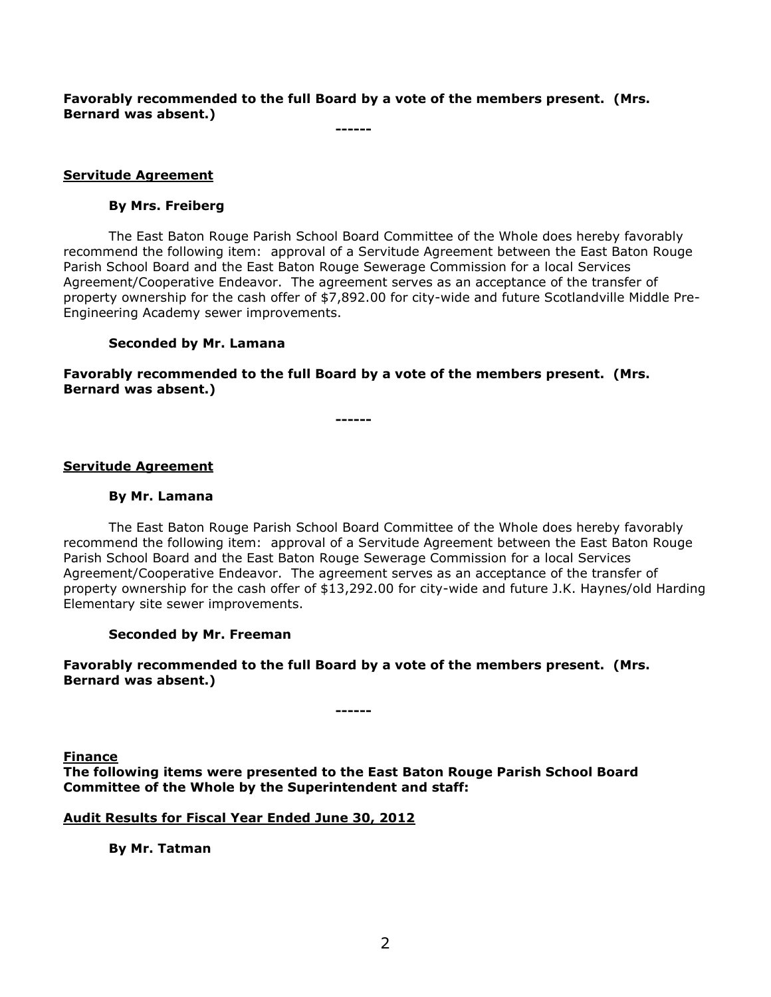**Favorably recommended to the full Board by a vote of the members present. (Mrs. Bernard was absent.)**

**------**

## **Servitude Agreement**

### **By Mrs. Freiberg**

The East Baton Rouge Parish School Board Committee of the Whole does hereby favorably recommend the following item: approval of a Servitude Agreement between the East Baton Rouge Parish School Board and the East Baton Rouge Sewerage Commission for a local Services Agreement/Cooperative Endeavor. The agreement serves as an acceptance of the transfer of property ownership for the cash offer of \$7,892.00 for city-wide and future Scotlandville Middle Pre-Engineering Academy sewer improvements.

# **Seconded by Mr. Lamana**

**Favorably recommended to the full Board by a vote of the members present. (Mrs. Bernard was absent.)**

**------**

### **Servitude Agreement**

## **By Mr. Lamana**

The East Baton Rouge Parish School Board Committee of the Whole does hereby favorably recommend the following item: approval of a Servitude Agreement between the East Baton Rouge Parish School Board and the East Baton Rouge Sewerage Commission for a local Services Agreement/Cooperative Endeavor. The agreement serves as an acceptance of the transfer of property ownership for the cash offer of \$13,292.00 for city-wide and future J.K. Haynes/old Harding Elementary site sewer improvements.

### **Seconded by Mr. Freeman**

**Favorably recommended to the full Board by a vote of the members present. (Mrs. Bernard was absent.)**

**------**

**Finance The following items were presented to the East Baton Rouge Parish School Board Committee of the Whole by the Superintendent and staff:**

### **Audit Results for Fiscal Year Ended June 30, 2012**

**By Mr. Tatman**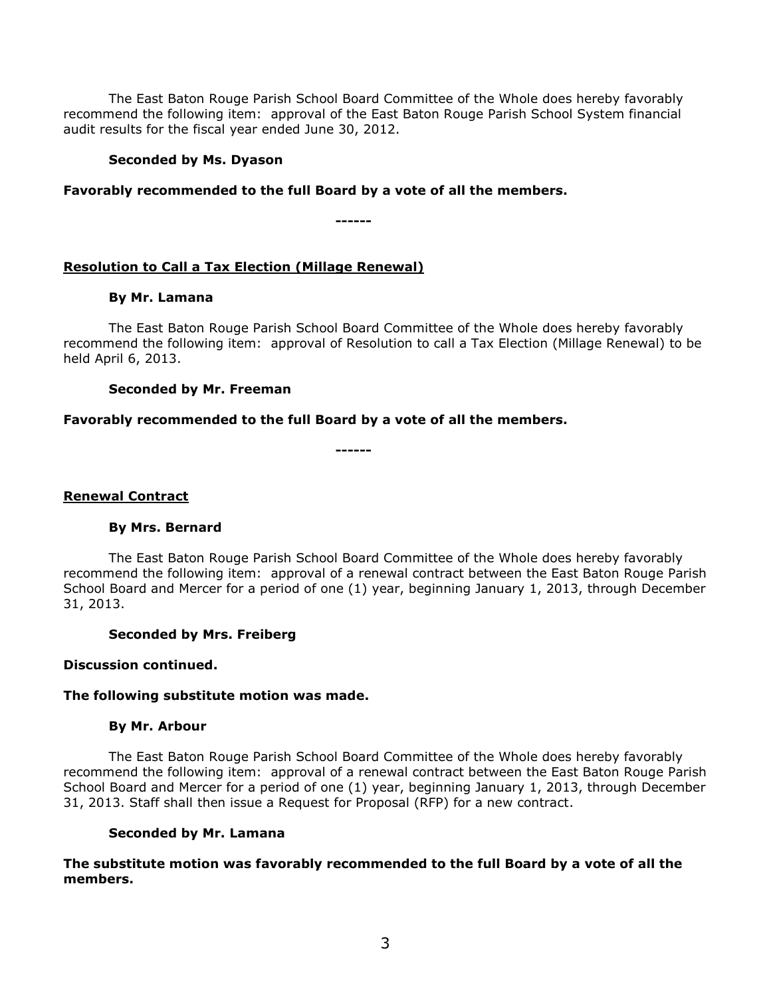The East Baton Rouge Parish School Board Committee of the Whole does hereby favorably recommend the following item: approval of the East Baton Rouge Parish School System financial audit results for the fiscal year ended June 30, 2012.

### **Seconded by Ms. Dyason**

# **Favorably recommended to the full Board by a vote of all the members.**

**------**

# **Resolution to Call a Tax Election (Millage Renewal)**

### **By Mr. Lamana**

The East Baton Rouge Parish School Board Committee of the Whole does hereby favorably recommend the following item: approval of Resolution to call a Tax Election (Millage Renewal) to be held April 6, 2013.

### **Seconded by Mr. Freeman**

### **Favorably recommended to the full Board by a vote of all the members.**

**------**

### **Renewal Contract**

### **By Mrs. Bernard**

The East Baton Rouge Parish School Board Committee of the Whole does hereby favorably recommend the following item: approval of a renewal contract between the East Baton Rouge Parish School Board and Mercer for a period of one (1) year, beginning January 1, 2013, through December 31, 2013.

### **Seconded by Mrs. Freiberg**

#### **Discussion continued.**

### **The following substitute motion was made.**

#### **By Mr. Arbour**

The East Baton Rouge Parish School Board Committee of the Whole does hereby favorably recommend the following item: approval of a renewal contract between the East Baton Rouge Parish School Board and Mercer for a period of one (1) year, beginning January 1, 2013, through December 31, 2013. Staff shall then issue a Request for Proposal (RFP) for a new contract.

#### **Seconded by Mr. Lamana**

**The substitute motion was favorably recommended to the full Board by a vote of all the members.**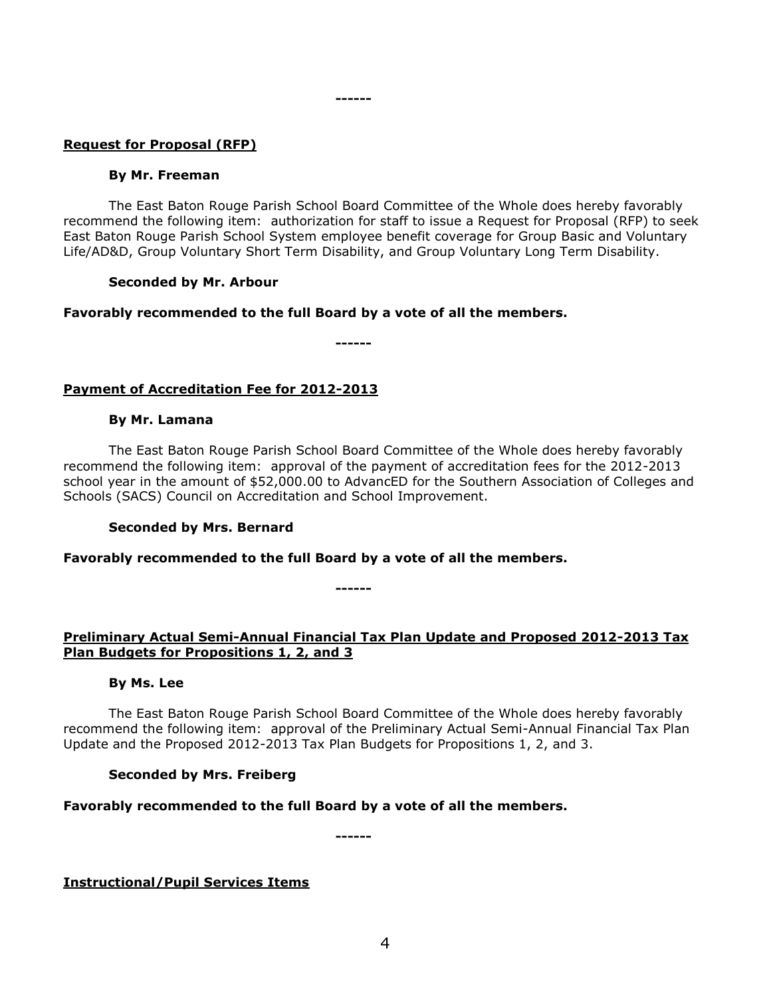## **Request for Proposal (RFP)**

#### **By Mr. Freeman**

The East Baton Rouge Parish School Board Committee of the Whole does hereby favorably recommend the following item: authorization for staff to issue a Request for Proposal (RFP) to seek East Baton Rouge Parish School System employee benefit coverage for Group Basic and Voluntary Life/AD&D, Group Voluntary Short Term Disability, and Group Voluntary Long Term Disability.

#### **Seconded by Mr. Arbour**

### **Favorably recommended to the full Board by a vote of all the members.**

**------**

**------**

# **Payment of Accreditation Fee for 2012-2013**

#### **By Mr. Lamana**

The East Baton Rouge Parish School Board Committee of the Whole does hereby favorably recommend the following item: approval of the payment of accreditation fees for the 2012-2013 school year in the amount of \$52,000.00 to AdvancED for the Southern Association of Colleges and Schools (SACS) Council on Accreditation and School Improvement.

### **Seconded by Mrs. Bernard**

**Favorably recommended to the full Board by a vote of all the members.**

# **Preliminary Actual Semi-Annual Financial Tax Plan Update and Proposed 2012-2013 Tax Plan Budgets for Propositions 1, 2, and 3**

**------**

### **By Ms. Lee**

The East Baton Rouge Parish School Board Committee of the Whole does hereby favorably recommend the following item: approval of the Preliminary Actual Semi-Annual Financial Tax Plan Update and the Proposed 2012-2013 Tax Plan Budgets for Propositions 1, 2, and 3.

### **Seconded by Mrs. Freiberg**

**Favorably recommended to the full Board by a vote of all the members.**

**------**

**Instructional/Pupil Services Items**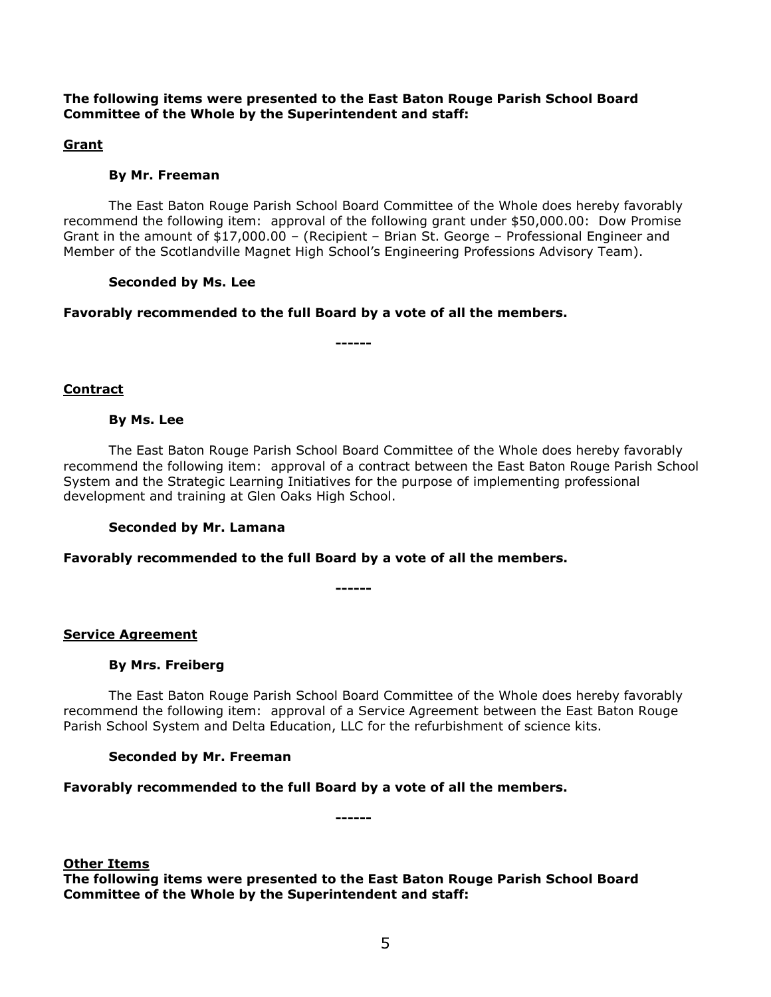# **The following items were presented to the East Baton Rouge Parish School Board Committee of the Whole by the Superintendent and staff:**

# **Grant**

# **By Mr. Freeman**

The East Baton Rouge Parish School Board Committee of the Whole does hereby favorably recommend the following item: approval of the following grant under \$50,000.00: Dow Promise Grant in the amount of \$17,000.00 – (Recipient – Brian St. George – Professional Engineer and Member of the Scotlandville Magnet High School's Engineering Professions Advisory Team).

### **Seconded by Ms. Lee**

# **Favorably recommended to the full Board by a vote of all the members.**

**------**

### **Contract**

# **By Ms. Lee**

The East Baton Rouge Parish School Board Committee of the Whole does hereby favorably recommend the following item: approval of a contract between the East Baton Rouge Parish School System and the Strategic Learning Initiatives for the purpose of implementing professional development and training at Glen Oaks High School.

### **Seconded by Mr. Lamana**

### **Favorably recommended to the full Board by a vote of all the members.**

**------**

# **Service Agreement**

### **By Mrs. Freiberg**

The East Baton Rouge Parish School Board Committee of the Whole does hereby favorably recommend the following item: approval of a Service Agreement between the East Baton Rouge Parish School System and Delta Education, LLC for the refurbishment of science kits.

### **Seconded by Mr. Freeman**

# **Favorably recommended to the full Board by a vote of all the members.**

**Other Items**

**The following items were presented to the East Baton Rouge Parish School Board Committee of the Whole by the Superintendent and staff:**

**------**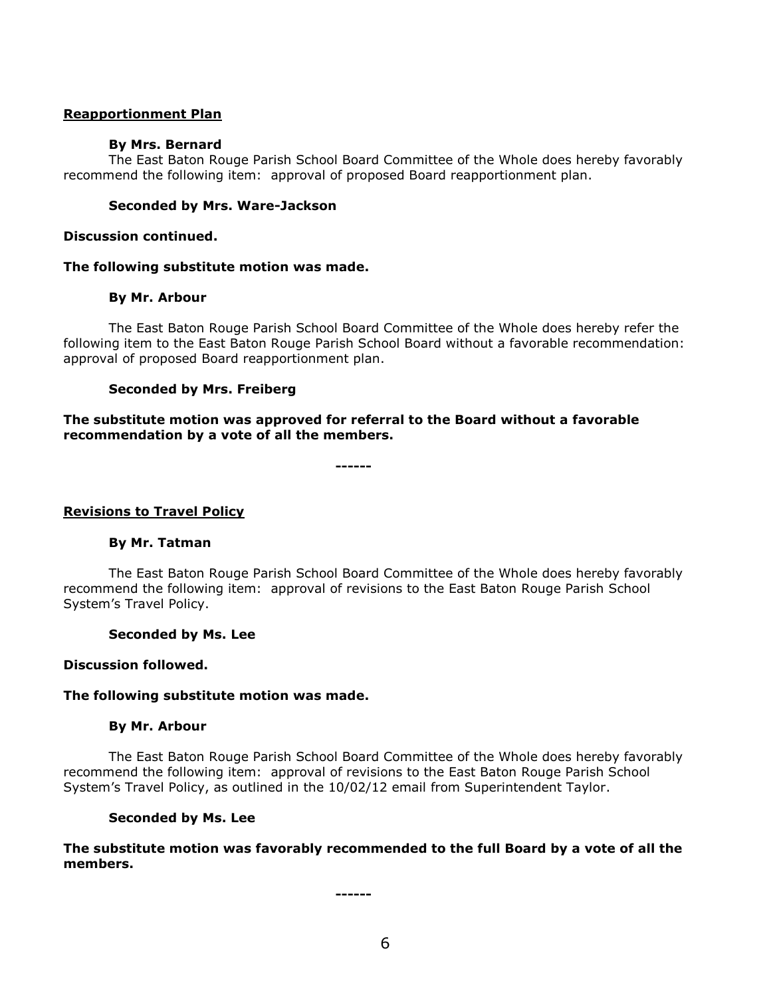#### **Reapportionment Plan**

#### **By Mrs. Bernard**

The East Baton Rouge Parish School Board Committee of the Whole does hereby favorably recommend the following item: approval of proposed Board reapportionment plan.

#### **Seconded by Mrs. Ware-Jackson**

**Discussion continued.**

#### **The following substitute motion was made.**

#### **By Mr. Arbour**

The East Baton Rouge Parish School Board Committee of the Whole does hereby refer the following item to the East Baton Rouge Parish School Board without a favorable recommendation: approval of proposed Board reapportionment plan.

### **Seconded by Mrs. Freiberg**

### **The substitute motion was approved for referral to the Board without a favorable recommendation by a vote of all the members.**

**------**

### **Revisions to Travel Policy**

### **By Mr. Tatman**

The East Baton Rouge Parish School Board Committee of the Whole does hereby favorably recommend the following item: approval of revisions to the East Baton Rouge Parish School System's Travel Policy.

#### **Seconded by Ms. Lee**

#### **Discussion followed.**

#### **The following substitute motion was made.**

#### **By Mr. Arbour**

The East Baton Rouge Parish School Board Committee of the Whole does hereby favorably recommend the following item: approval of revisions to the East Baton Rouge Parish School System's Travel Policy, as outlined in the 10/02/12 email from Superintendent Taylor.

#### **Seconded by Ms. Lee**

**The substitute motion was favorably recommended to the full Board by a vote of all the members.**

**------**